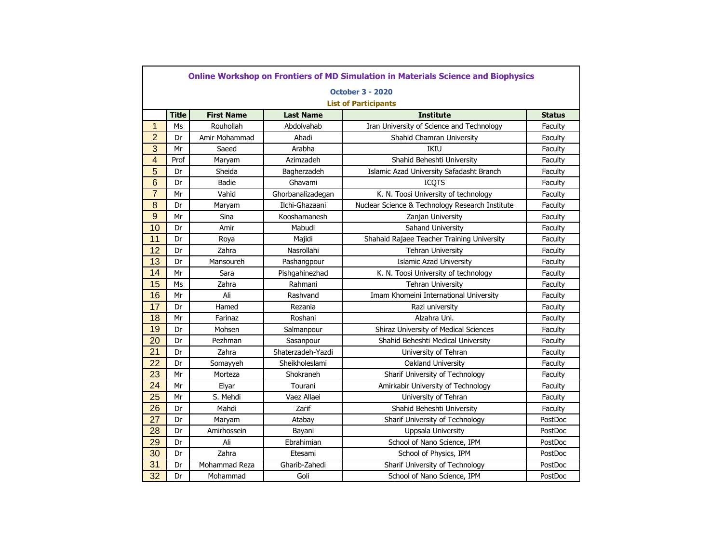|                |              |                   |                   | <b>October 3 - 2020</b>                         |               |
|----------------|--------------|-------------------|-------------------|-------------------------------------------------|---------------|
|                |              |                   |                   | <b>List of Participants</b>                     |               |
|                | <b>Title</b> | <b>First Name</b> | <b>Last Name</b>  | <b>Institute</b>                                | <b>Status</b> |
| $\mathbf{1}$   | Ms           | Rouhollah         | Abdolvahab        | Iran University of Science and Technology       | Faculty       |
| $\overline{2}$ | Dr           | Amir Mohammad     | Ahadi             | Shahid Chamran University                       | Faculty       |
| 3              | Mr           | Saeed             | Arabha            | IKIU                                            | Faculty       |
| 4              | Prof         | Maryam            | Azimzadeh         | Shahid Beheshti University                      | Faculty       |
| 5              | Dr           | Sheida            | Bagherzadeh       | Islamic Azad University Safadasht Branch        | Faculty       |
| $6\phantom{1}$ | Dr           | Badie             | Ghavami           | <b>ICQTS</b>                                    | Faculty       |
| $\overline{7}$ | Mr           | Vahid             | Ghorbanalizadegan | K. N. Toosi University of technology            | Faculty       |
| $\bf 8$        | Dr           | Maryam            | Ilchi-Ghazaani    | Nuclear Science & Technology Research Institute | Faculty       |
| 9              | Mr           | Sina              | Kooshamanesh      | Zanjan University                               | Faculty       |
| 10             | Dr           | Amir              | Mabudi            | Sahand University                               | Faculty       |
| 11             | Dr           | Roya              | Majidi            | Shahaid Rajaee Teacher Training University      | Faculty       |
| 12             | Dr           | Zahra             | Nasrollahi        | <b>Tehran University</b>                        | Faculty       |
| 13             | Dr           | Mansoureh         | Pashangpour       | <b>Islamic Azad University</b>                  | Faculty       |
| 14             | Mr           | Sara              | Pishgahinezhad    | K. N. Toosi University of technology            | Faculty       |
| 15             | Ms           | Zahra             | Rahmani           | <b>Tehran University</b>                        | Faculty       |
| 16             | Mr           | Ali               | Rashvand          | Imam Khomeini International University          | Faculty       |
| 17             | Dr           | Hamed             | Rezania           | Razi university                                 | Faculty       |
| 18             | Mr           | Farinaz           | Roshani           | Alzahra Uni.                                    | Faculty       |
| 19             | Dr           | Mohsen            | Salmanpour        | Shiraz University of Medical Sciences           | Faculty       |
| 20             | Dr           | Pezhman           | Sasanpour         | Shahid Beheshti Medical University              | Faculty       |
| 21             | Dr           | Zahra             | Shaterzadeh-Yazdi | University of Tehran                            | Faculty       |
| 22             | Dr           | Somayyeh          | Sheikholeslami    | Oakland University                              | Faculty       |
| 23             | Mr           | Morteza           | Shokraneh         | Sharif University of Technology                 | Faculty       |
| 24             | Mr           | Elyar             | Tourani           | Amirkabir University of Technology              | Faculty       |
| 25             | Mr           | S. Mehdi          | Vaez Allaei       | University of Tehran                            | Faculty       |
| 26             | Dr           | Mahdi             | Zarif             | Shahid Beheshti University                      | Faculty       |
| 27             | Dr           | Maryam            | Atabay            | Sharif University of Technology                 | PostDoc       |
| 28             | Dr           | Amirhossein       | Bayani            | Uppsala University                              | PostDoc       |
| 29             | Dr           | Ali               | Ebrahimian        | School of Nano Science, IPM                     | PostDoc       |
| 30             | Dr           | Zahra             | Etesami           | School of Physics, IPM                          | PostDoc       |
| 31             | Dr           | Mohammad Reza     | Gharib-Zahedi     | Sharif University of Technology                 | PostDoc       |
| 32             | Dr           | Mohammad          | Goli              | School of Nano Science, IPM                     | PostDoc       |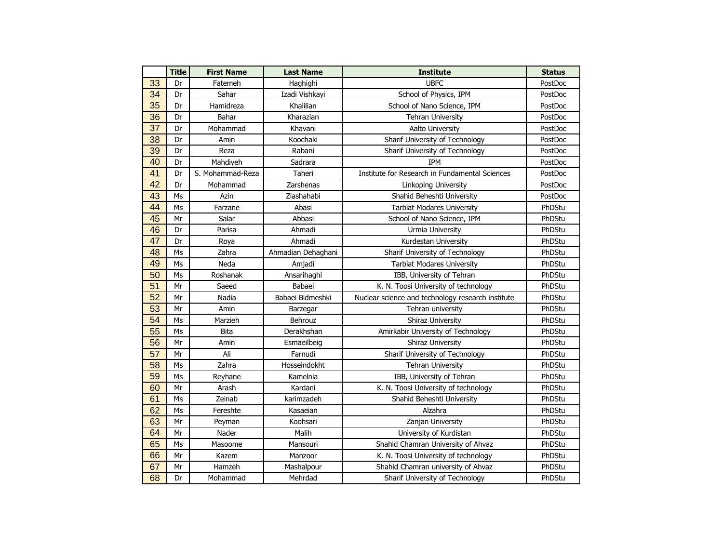|    | <b>Title</b>   | <b>First Name</b> | <b>Last Name</b>   | <b>Institute</b>                                  | <b>Status</b> |
|----|----------------|-------------------|--------------------|---------------------------------------------------|---------------|
| 33 | Dr             | Fatemeh           | Haghighi           | <b>UBFC</b>                                       |               |
| 34 | Dr             | Sahar             | Izadi Vishkayi     | School of Physics, IPM                            | PostDoc       |
| 35 | Dr             | Hamidreza         | Khalilian          | School of Nano Science, IPM                       | PostDoc       |
| 36 | Dr             | Bahar             | Kharazian          | <b>Tehran University</b>                          | PostDoc       |
| 37 | Dr             | Mohammad          | Khavani            | Aalto University                                  | PostDoc       |
| 38 | Dr             | Amin              | Koochaki           | Sharif University of Technology                   | PostDoc       |
| 39 | Dr             | Reza              | Rabani             | Sharif University of Technology                   | PostDoc       |
| 40 | Dr             | Mahdiyeh          | Sadrara            | <b>TPM</b>                                        | PostDoc       |
| 41 | Dr             | S. Mohammad-Reza  | Taheri             | Institute for Research in Fundamental Sciences    | PostDoc       |
| 42 | Dr             | Mohammad          | Zarshenas          | Linkoping University                              | PostDoc       |
| 43 | Ms             | Azin              | Ziashahabi         | Shahid Beheshti University                        | PostDoc       |
| 44 | Ms             | Farzane           | Abasi              | <b>Tarbiat Modares University</b>                 | PhDStu        |
| 45 | Mr             | Salar             | Abbasi             | School of Nano Science, IPM                       | PhDStu        |
| 46 | Dr             | Parisa            | Ahmadi             | Urmia University                                  | PhDStu        |
| 47 | Dr             | Roya              | Ahmadi             | Kurdestan University                              | PhDStu        |
| 48 | Ms             | Zahra             | Ahmadian Dehaghani | Sharif University of Technology                   | PhDStu        |
| 49 | Ms             | Neda              | Amjadi             | <b>Tarbiat Modares University</b>                 | PhDStu        |
| 50 | Ms             | Roshanak          | Ansarihaghi        | IBB, University of Tehran                         | PhDStu        |
| 51 | Mr             | Saeed             | Babaei             | K. N. Toosi University of technology              | PhDStu        |
| 52 | Mr             | Nadia             | Babaei Bidmeshki   | Nuclear science and technology research institute | PhDStu        |
| 53 | Mr             | Amin              | Barzegar           | Tehran university                                 | PhDStu        |
| 54 | Ms             | Marzieh           | Behrouz            | <b>Shiraz University</b>                          | PhDStu        |
| 55 | Ms             | Bita              | Derakhshan         | Amirkabir University of Technology                | PhDStu        |
| 56 | Mr             | Amin              | Esmaeilbeig        | Shiraz University                                 | PhDStu        |
| 57 | Mr             | Ali               | Farnudi            | Sharif University of Technology                   | PhDStu        |
| 58 | Ms             | Zahra             | Hosseindokht       | <b>Tehran University</b>                          | PhDStu        |
| 59 | Ms             | Reyhane           | Kamelnia           | IBB, University of Tehran                         | PhDStu        |
| 60 | Mr             | Arash             | Kardani            | K. N. Toosi University of technology              | PhDStu        |
| 61 | Ms             | Zeinab            | karimzadeh         | Shahid Beheshti University                        | PhDStu        |
| 62 | M <sub>S</sub> | Fereshte          | Kasaeian           | Alzahra                                           | PhDStu        |
| 63 | Mr             | Peyman            | Koohsari           | Zanjan University                                 | PhDStu        |
| 64 | Mr             | Nader             | Malih              | University of Kurdistan                           | PhDStu        |
| 65 | Ms             | Masoome           | Mansouri           | Shahid Chamran University of Ahvaz                | PhDStu        |
| 66 | Mr             | Kazem             | Manzoor            | K. N. Toosi University of technology              | PhDStu        |
| 67 | Mr             | Hamzeh            | Mashalpour         | Shahid Chamran university of Ahvaz                | PhDStu        |
| 68 | Dr             | Mohammad          | Mehrdad            | Sharif University of Technology                   | PhDStu        |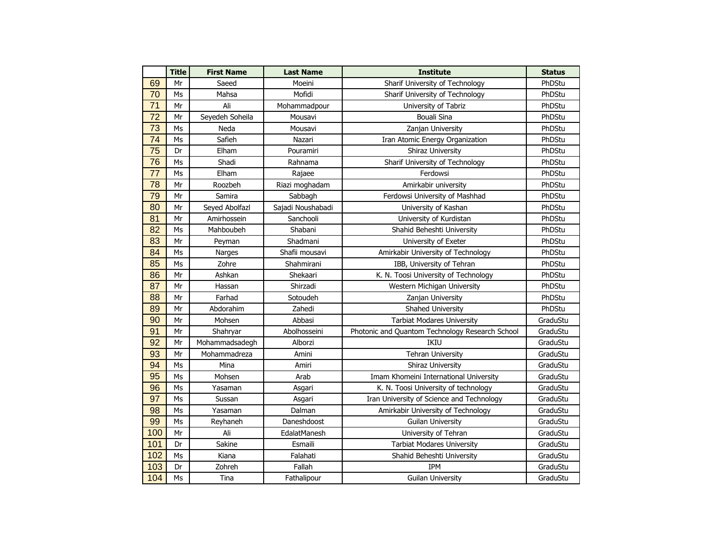|     | <b>Title</b>   | <b>First Name</b> | <b>Last Name</b>  | <b>Institute</b>                                | <b>Status</b> |
|-----|----------------|-------------------|-------------------|-------------------------------------------------|---------------|
| 69  | Mr             | Saeed             | Moeini            | Sharif University of Technology                 | PhDStu        |
| 70  | Ms             | Mahsa             | Mofidi            | Sharif University of Technology                 | PhDStu        |
| 71  | Mr             | Ali               | Mohammadpour      | University of Tabriz                            | PhDStu        |
| 72  | Mr             | Seyedeh Soheila   | Mousavi           | <b>Bouali Sina</b>                              | PhDStu        |
| 73  | Ms             | Neda              | Mousavi           | Zanjan University                               | PhDStu        |
| 74  | Ms             | Safieh            | Nazari            | Iran Atomic Energy Organization                 | PhDStu        |
| 75  | Dr             | Elham             | Pouramiri         | Shiraz University                               | PhDStu        |
| 76  | Ms             | Shadi             | Rahnama           | Sharif University of Technology                 | PhDStu        |
| 77  | Ms             | Elham             | Rajaee            | Ferdowsi                                        | PhDStu        |
| 78  | Mr             | Roozbeh           | Riazi moghadam    | Amirkabir university                            | PhDStu        |
| 79  | Mr             | Samira            | Sabbagh           | Ferdowsi University of Mashhad                  | PhDStu        |
| 80  | Mr             | Seyed Abolfazl    | Sajadi Noushabadi | University of Kashan                            | PhDStu        |
| 81  | Mr             | Amirhossein       | Sanchooli         | University of Kurdistan                         | PhDStu        |
| 82  | Ms             | Mahboubeh         | Shabani           | Shahid Beheshti University                      | PhDStu        |
| 83  | Mr             | Peyman            | Shadmani          | University of Exeter                            | PhDStu        |
| 84  | Ms             | Narges            | Shafii mousavi    | Amirkabir University of Technology              | PhDStu        |
| 85  | Ms             | Zohre             | Shahmirani        | IBB, University of Tehran                       | PhDStu        |
| 86  | Mr             | Ashkan            | Shekaari          | K. N. Toosi University of Technology            | PhDStu        |
| 87  | Mr             | Hassan            | Shirzadi          | Western Michigan University                     | PhDStu        |
| 88  | Mr             | Farhad            | Sotoudeh          | Zanjan University                               | PhDStu        |
| 89  | Mr             | Abdorahim         | Zahedi            | Shahed University                               | PhDStu        |
| 90  | Mr             | Mohsen            | Abbasi            | <b>Tarbiat Modares University</b>               | GraduStu      |
| 91  | Mr             | Shahryar          | Abolhosseini      | Photonic and Quantom Technology Research School | GraduStu      |
| 92  | Mr             | Mohammadsadegh    | Alborzi           | IKIU                                            | GraduStu      |
| 93  | Mr             | Mohammadreza      | Amini             | <b>Tehran University</b>                        | GraduStu      |
| 94  | Ms             | Mina              | Amiri             | Shiraz University                               | GraduStu      |
| 95  | Ms             | Mohsen            | Arab              | Imam Khomeini International University          | GraduStu      |
| 96  | Ms             | Yasaman           | Asgari            | K. N. Toosi University of technology            | GraduStu      |
| 97  | Ms             | Sussan            | Asgari            | Iran University of Science and Technology       | GraduStu      |
| 98  | Ms             | Yasaman           | Dalman            | Amirkabir University of Technology              | GraduStu      |
| 99  | Ms             | Reyhaneh          | Daneshdoost       | <b>Guilan University</b>                        | GraduStu      |
| 100 | Mr             | Ali               | EdalatManesh      | University of Tehran                            | GraduStu      |
| 101 | Dr             | Sakine            | Esmaili           | <b>Tarbiat Modares University</b>               | GraduStu      |
| 102 | M <sub>S</sub> | Kiana             | Falahati          | Shahid Beheshti University                      | GraduStu      |
| 103 | Dr             | Zohreh            | Fallah            | <b>IPM</b>                                      | GraduStu      |
| 104 | Ms             | Tina              | Fathalipour       | <b>Guilan University</b>                        | GraduStu      |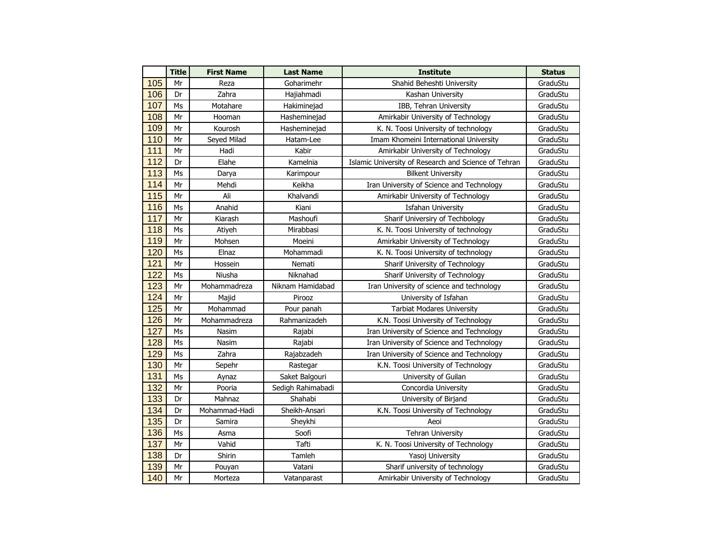|     | <b>Title</b> | <b>First Name</b> | <b>Last Name</b>                         | <b>Institute</b>                                     | <b>Status</b> |
|-----|--------------|-------------------|------------------------------------------|------------------------------------------------------|---------------|
| 105 | Mr           | Reza              | Goharimehr<br>Shahid Beheshti University |                                                      | GraduStu      |
| 106 | Dr           | Zahra             | Hajiahmadi                               | Kashan University                                    | GraduStu      |
| 107 | Ms           | Motahare          | Hakiminejad                              | IBB, Tehran University                               | GraduStu      |
| 108 | Mr           | Hooman            | Hasheminejad                             | Amirkabir University of Technology                   | GraduStu      |
| 109 | Mr           | Kourosh           | Hasheminejad                             | K. N. Toosi University of technology                 | GraduStu      |
| 110 | Mr           | Seyed Milad       | Hatam-Lee                                | Imam Khomeini International University               | GraduStu      |
| 111 | Mr           | Hadi              | Kabir                                    | Amirkabir University of Technology                   | GraduStu      |
| 112 | Dr           | Elahe             | Kamelnia                                 | Islamic University of Research and Science of Tehran | GraduStu      |
| 113 | Ms           | Darya             | Karimpour                                | <b>Bilkent University</b>                            | GraduStu      |
| 114 | Mr           | Mehdi             | Keikha                                   | Iran University of Science and Technology            | GraduStu      |
| 115 | Mr           | Ali               | Khalvandi                                | Amirkabir University of Technology                   | GraduStu      |
| 116 | Ms           | Anahid            | Kiani                                    | <b>Isfahan University</b>                            | GraduStu      |
| 117 | Mr           | Kiarash           | Mashoufi                                 | Sharif Universiry of Techbology                      | GraduStu      |
| 118 | Ms           | Atiyeh            | Mirabbasi                                | K. N. Toosi University of technology                 | GraduStu      |
| 119 | Mr           | Mohsen            | Moeini                                   | Amirkabir University of Technology                   | GraduStu      |
| 120 | Ms           | Elnaz             | Mohammadi                                | K. N. Toosi University of technology                 | GraduStu      |
| 121 | Mr           | Hossein           | Nemati                                   | Sharif University of Technology                      | GraduStu      |
| 122 | Ms           | Niusha            | Niknahad                                 | Sharif University of Technology                      | GraduStu      |
| 123 | Mr           | Mohammadreza      | Niknam Hamidabad                         | Iran University of science and technology            | GraduStu      |
| 124 | Mr           | Majid             | Pirooz                                   | University of Isfahan                                | GraduStu      |
| 125 | Mr           | Mohammad          | Pour panah                               | <b>Tarbiat Modares University</b>                    | GraduStu      |
| 126 | Mr           | Mohammadreza      | Rahmanizadeh                             | K.N. Toosi University of Technology                  | GraduStu      |
| 127 | Ms           | Nasim             | Rajabi                                   | Iran University of Science and Technology            | GraduStu      |
| 128 | Ms           | Nasim             | Rajabi                                   | Iran University of Science and Technology            | GraduStu      |
| 129 | Ms           | Zahra             | Rajabzadeh                               | Iran University of Science and Technology            | GraduStu      |
| 130 | Mr           | Sepehr            | Rastegar                                 | K.N. Toosi University of Technology                  | GraduStu      |
| 131 | Ms           | Aynaz             | Saket Balgouri                           | University of Guilan                                 | GraduStu      |
| 132 | Mr           | Pooria            | Sedigh Rahimabadi                        | Concordia University                                 | GraduStu      |
| 133 | Dr           | Mahnaz            | Shahabi                                  | University of Birjand                                | GraduStu      |
| 134 | Dr           | Mohammad-Hadi     | Sheikh-Ansari                            | K.N. Toosi University of Technology                  | GraduStu      |
| 135 | Dr           | Samira            | Sheykhi                                  | Aeoi                                                 | GraduStu      |
| 136 | Ms           | Asma              | Soofi                                    | <b>Tehran University</b>                             | GraduStu      |
| 137 | Mr           | Vahid             | Tafti                                    | K. N. Toosi University of Technology                 | GraduStu      |
| 138 | Dr           | Shirin            | Tamleh                                   | Yasoj University                                     | GraduStu      |
| 139 | Mr           | Pouyan            | Vatani                                   | Sharif university of technology                      | GraduStu      |
| 140 | Mr           | Morteza           | Vatanparast                              | Amirkabir University of Technology                   | GraduStu      |